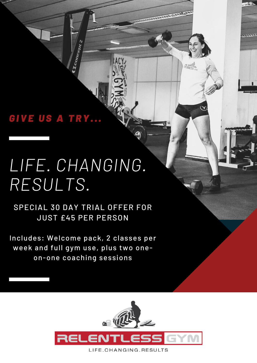## *G I V E U S A T R Y . . .*

# *LIFE. CHANGING. RESULTS.*

CIconcem

SPECIAL 30 DAY TRIAL OFFER FOR JUST £45 PER PERSON

Includes: Welcome pack, 2 classes per week and full gym use, plus two oneon-one coaching sessions



**REAL PROPERTY**